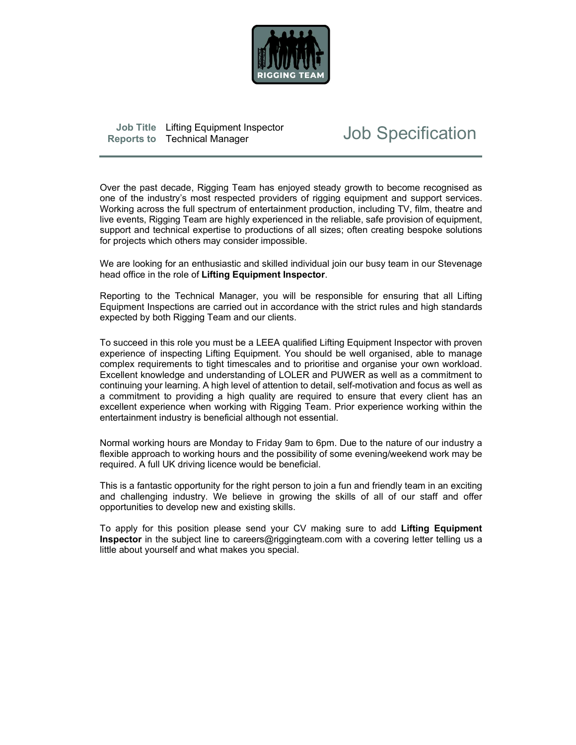

| Job Title Lifting Equipment Inspector |     |
|---------------------------------------|-----|
| Reports to Technical Manager          | Job |

# **Job Specification**

 Over the past decade, Rigging Team has enjoyed steady growth to become recognised as one of the industry's most respected providers of rigging equipment and support services. Working across the full spectrum of entertainment production, including TV, film, theatre and live events, Rigging Team are highly experienced in the reliable, safe provision of equipment, support and technical expertise to productions of all sizes; often creating bespoke solutions for projects which others may consider impossible.

We are looking for an enthusiastic and skilled individual join our busy team in our Stevenage head office in the role of Lifting Equipment Inspector.<br>Reporting to the Technical Manager, you will be responsible for ensuring that all Lifting

Equipment Inspections are carried out in accordance with the strict rules and high standards expected by both Rigging Team and our clients.

To succeed in this role you must be a LEEA qualified Lifting Equipment Inspector with proven experience of inspecting Lifting Equipment. You should be well organised, able to manage complex requirements to tight timescales and to prioritise and organise your own workload. Excellent knowledge and understanding of LOLER and PUWER as well as a commitment to continuing your learning. A high level of attention to detail, self-motivation and focus as well as a commitment to providing a high quality are required to ensure that every client has an excellent experience when working with Rigging Team. Prior experience working within the entertainment industry is beneficial although not essential.

Normal working hours are Monday to Friday 9am to 6pm. Due to the nature of our industry a flexible approach to working hours and the possibility of some evening/weekend work may be required. A full UK driving licence would be beneficial.

This is a fantastic opportunity for the right person to join a fun and friendly team in an exciting and challenging industry. We believe in growing the skills of all of our staff and offer opportunities to develop new and existing skills.

To apply for this position please send your CV making sure to add Lifting Equipment Inspector in the subject line to careers@riggingteam.com with a covering letter telling us a little about yourself and what makes you special.